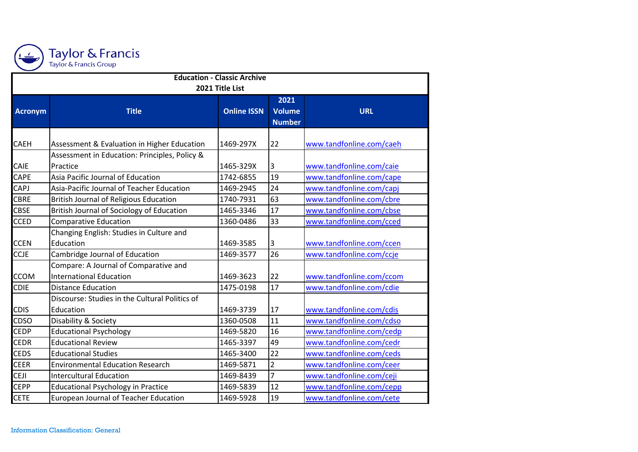

| <b>Education - Classic Archive</b> |                                                |                    |                       |                          |  |
|------------------------------------|------------------------------------------------|--------------------|-----------------------|--------------------------|--|
| 2021 Title List                    |                                                |                    |                       |                          |  |
| <b>Acronym</b>                     | <b>Title</b>                                   | <b>Online ISSN</b> | 2021<br><b>Volume</b> | <b>URL</b>               |  |
|                                    |                                                |                    | <b>Number</b>         |                          |  |
|                                    |                                                |                    |                       |                          |  |
| <b>CAEH</b>                        | Assessment & Evaluation in Higher Education    | 1469-297X          | 22                    | www.tandfonline.com/caeh |  |
|                                    | Assessment in Education: Principles, Policy &  |                    |                       |                          |  |
| <b>CAIE</b>                        | Practice                                       | 1465-329X          | 3                     | www.tandfonline.com/caie |  |
| <b>CAPE</b>                        | Asia Pacific Journal of Education              | 1742-6855          | 19                    | www.tandfonline.com/cape |  |
| <b>CAPJ</b>                        | Asia-Pacific Journal of Teacher Education      | 1469-2945          | 24                    | www.tandfonline.com/capj |  |
| <b>CBRE</b>                        | <b>British Journal of Religious Education</b>  | 1740-7931          | 63                    | www.tandfonline.com/cbre |  |
| <b>CBSE</b>                        | British Journal of Sociology of Education      | 1465-3346          | 17                    | www.tandfonline.com/cbse |  |
| <b>CCED</b>                        | <b>Comparative Education</b>                   | 1360-0486          | 33                    | www.tandfonline.com/cced |  |
|                                    | Changing English: Studies in Culture and       |                    |                       |                          |  |
| <b>CCEN</b>                        | Education                                      | 1469-3585          | 3                     | www.tandfonline.com/ccen |  |
| <b>CCJE</b>                        | Cambridge Journal of Education                 | 1469-3577          | 26                    | www.tandfonline.com/ccje |  |
|                                    | Compare: A Journal of Comparative and          |                    |                       |                          |  |
| <b>CCOM</b>                        | <b>International Education</b>                 | 1469-3623          | 22                    | www.tandfonline.com/ccom |  |
| <b>CDIE</b>                        | <b>Distance Education</b>                      | 1475-0198          | 17                    | www.tandfonline.com/cdie |  |
|                                    | Discourse: Studies in the Cultural Politics of |                    |                       |                          |  |
| <b>CDIS</b>                        | Education                                      | 1469-3739          | 17                    | www.tandfonline.com/cdis |  |
| CDSO                               | Disability & Society                           | 1360-0508          | 11                    | www.tandfonline.com/cdso |  |
| <b>CEDP</b>                        | <b>Educational Psychology</b>                  | 1469-5820          | 16                    | www.tandfonline.com/cedp |  |
| <b>CEDR</b>                        | <b>Educational Review</b>                      | 1465-3397          | 49                    | www.tandfonline.com/cedr |  |
| <b>CEDS</b>                        | <b>Educational Studies</b>                     | 1465-3400          | 22                    | www.tandfonline.com/ceds |  |
| <b>CEER</b>                        | <b>Environmental Education Research</b>        | 1469-5871          | $\overline{2}$        | www.tandfonline.com/ceer |  |
| <b>CEJI</b>                        | <b>Intercultural Education</b>                 | 1469-8439          | 7                     | www.tandfonline.com/ceji |  |
| <b>CEPP</b>                        | <b>Educational Psychology in Practice</b>      | 1469-5839          | 12                    | www.tandfonline.com/cepp |  |
| <b>CETE</b>                        | European Journal of Teacher Education          | 1469-5928          | 19                    | www.tandfonline.com/cete |  |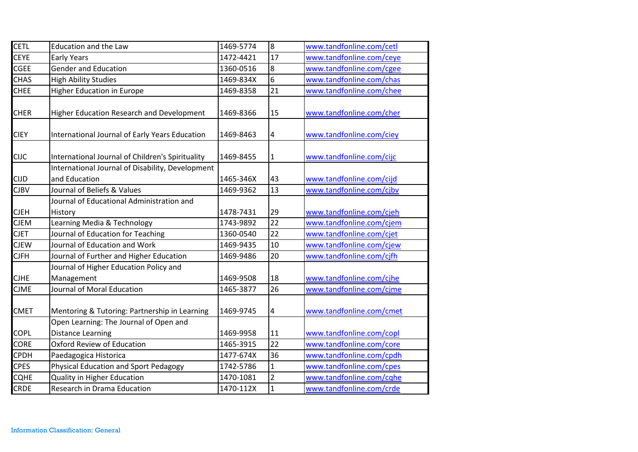| CETL        | <b>Education and the Law</b>                     | 1469-5774 | 8              | www.tandfonline.com/cetl |
|-------------|--------------------------------------------------|-----------|----------------|--------------------------|
| <b>CEYE</b> | <b>Early Years</b>                               | 1472-4421 | 17             | www.tandfonline.com/ceye |
| <b>CGEE</b> | <b>Gender and Education</b>                      | 1360-0516 | $\overline{8}$ | www.tandfonline.com/cgee |
| <b>CHAS</b> | <b>High Ability Studies</b>                      | 1469-834X | 6              | www.tandfonline.com/chas |
| <b>CHEE</b> | <b>Higher Education in Europe</b>                | 1469-8358 | 21             | www.tandfonline.com/chee |
|             |                                                  |           |                |                          |
| <b>CHER</b> | Higher Education Research and Development        | 1469-8366 | 15             | www.tandfonline.com/cher |
| <b>CIEY</b> | International Journal of Early Years Education   | 1469-8463 | $\overline{a}$ | www.tandfonline.com/ciey |
| <b>CIJC</b> | International Journal of Children's Spirituality | 1469-8455 | $\mathbf{1}$   | www.tandfonline.com/cijc |
|             | International Journal of Disability, Development |           |                |                          |
| <b>CIJD</b> | and Education                                    | 1465-346X | 43             | www.tandfonline.com/cijd |
| <b>CJBV</b> | Journal of Beliefs & Values                      | 1469-9362 | 13             | www.tandfonline.com/cjbv |
|             | Journal of Educational Administration and        |           |                |                          |
| <b>CJEH</b> | History                                          | 1478-7431 | 29             | www.tandfonline.com/cjeh |
| <b>CJEM</b> | Learning Media & Technology                      | 1743-9892 | 22             | www.tandfonline.com/cjem |
| <b>CJET</b> | Journal of Education for Teaching                | 1360-0540 | 22             | www.tandfonline.com/cjet |
| <b>CJEW</b> | Journal of Education and Work                    | 1469-9435 | 10             | www.tandfonline.com/cjew |
| <b>CJFH</b> | Journal of Further and Higher Education          | 1469-9486 | 20             | www.tandfonline.com/cjfh |
|             | Journal of Higher Education Policy and           |           |                |                          |
| <b>CJHE</b> | Management                                       | 1469-9508 | 18             | www.tandfonline.com/cjhe |
| <b>CJME</b> | Journal of Moral Education                       | 1465-3877 | 26             | www.tandfonline.com/cjme |
| <b>CMET</b> | Mentoring & Tutoring: Partnership in Learning    | 1469-9745 | 4              | www.tandfonline.com/cmet |
|             | Open Learning: The Journal of Open and           |           |                |                          |
| <b>COPL</b> | <b>Distance Learning</b>                         | 1469-9958 | 11             | www.tandfonline.com/copl |
| <b>CORE</b> | Oxford Review of Education                       | 1465-3915 | 22             | www.tandfonline.com/core |
| <b>CPDH</b> | Paedagogica Historica                            | 1477-674X | 36             | www.tandfonline.com/cpdh |
| <b>CPES</b> | <b>Physical Education and Sport Pedagogy</b>     | 1742-5786 | $\mathbf{1}$   | www.tandfonline.com/cpes |
| <b>CQHE</b> | Quality in Higher Education                      | 1470-1081 | $\overline{2}$ | www.tandfonline.com/cqhe |
| CRDE        | Research in Drama Education                      | 1470-112X | $\mathbf{1}$   | www.tandfonline.com/crde |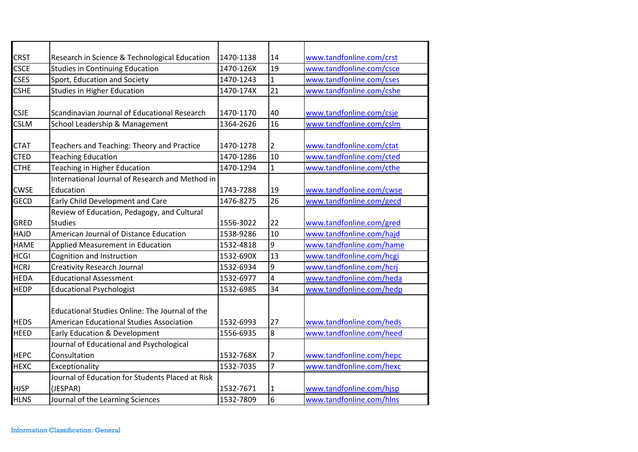| <b>CRST</b> | Research in Science & Technological Education    | 1470-1138 | 14             | www.tandfonline.com/crst |
|-------------|--------------------------------------------------|-----------|----------------|--------------------------|
| <b>CSCE</b> | <b>Studies in Continuing Education</b>           | 1470-126X | 19             | www.tandfonline.com/csce |
| <b>CSES</b> | Sport, Education and Society                     | 1470-1243 | $\mathbf{1}$   | www.tandfonline.com/cses |
| <b>CSHE</b> | <b>Studies in Higher Education</b>               | 1470-174X | 21             | www.tandfonline.com/cshe |
|             |                                                  |           |                |                          |
| <b>CSJE</b> | Scandinavian Journal of Educational Research     | 1470-1170 | 40             | www.tandfonline.com/csje |
| <b>CSLM</b> | School Leadership & Management                   | 1364-2626 | 16             | www.tandfonline.com/cslm |
|             |                                                  |           |                |                          |
| <b>CTAT</b> | Teachers and Teaching: Theory and Practice       | 1470-1278 | 2              | www.tandfonline.com/ctat |
| <b>CTED</b> | <b>Teaching Education</b>                        | 1470-1286 | 10             | www.tandfonline.com/cted |
| <b>CTHE</b> | Teaching in Higher Education                     | 1470-1294 | $\mathbf{1}$   | www.tandfonline.com/cthe |
|             | International Journal of Research and Method in  |           |                |                          |
| <b>CWSE</b> | Education                                        | 1743-7288 | 19             | www.tandfonline.com/cwse |
| <b>GECD</b> | Early Child Development and Care                 | 1476-8275 | 26             | www.tandfonline.com/gecd |
|             | Review of Education, Pedagogy, and Cultural      |           |                |                          |
| GRED        | <b>Studies</b>                                   | 1556-3022 | 22             | www.tandfonline.com/gred |
| HAJD        | American Journal of Distance Education           | 1538-9286 | 10             | www.tandfonline.com/hajd |
| <b>HAME</b> | Applied Measurement in Education                 | 1532-4818 | l9             | www.tandfonline.com/hame |
| <b>HCGI</b> | Cognition and Instruction                        | 1532-690X | 13             | www.tandfonline.com/hcgi |
| <b>HCRJ</b> | <b>Creativity Research Journal</b>               | 1532-6934 | l9             | www.tandfonline.com/hcrj |
| <b>HEDA</b> | <b>Educational Assessment</b>                    | 1532-6977 | $\overline{4}$ | www.tandfonline.com/heda |
| <b>HEDP</b> | <b>Educational Psychologist</b>                  | 1532-6985 | 34             | www.tandfonline.com/hedp |
|             |                                                  |           |                |                          |
|             | Educational Studies Online: The Journal of the   |           |                |                          |
| <b>HEDS</b> | <b>American Educational Studies Association</b>  | 1532-6993 | 27             | www.tandfonline.com/heds |
| <b>HEED</b> | Early Education & Development                    | 1556-6935 | $\overline{8}$ | www.tandfonline.com/heed |
|             | Journal of Educational and Psychological         |           |                |                          |
| <b>HEPC</b> | Consultation                                     | 1532-768X | 7              | www.tandfonline.com/hepc |
| <b>HEXC</b> | Exceptionality                                   | 1532-7035 | $\overline{7}$ | www.tandfonline.com/hexc |
|             | Journal of Education for Students Placed at Risk |           |                |                          |
| <b>HJSP</b> | (JESPAR)                                         | 1532-7671 | 1              | www.tandfonline.com/hjsp |
| <b>HLNS</b> | Journal of the Learning Sciences                 | 1532-7809 | l6             | www.tandfonline.com/hlns |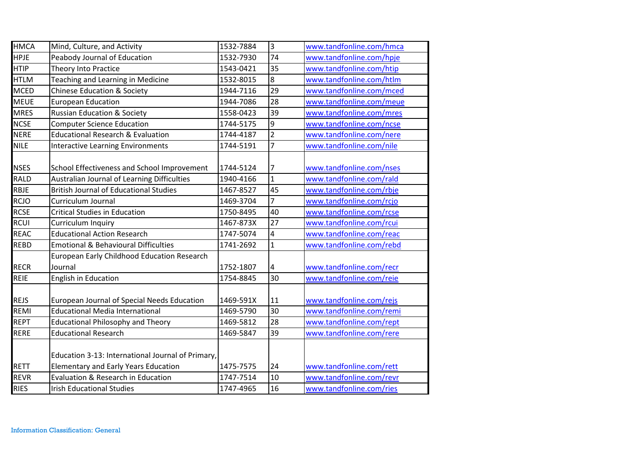| <b>HMCA</b> | Mind, Culture, and Activity                       | 1532-7884 | Iз              | www.tandfonline.com/hmca |
|-------------|---------------------------------------------------|-----------|-----------------|--------------------------|
| <b>HPJE</b> | Peabody Journal of Education                      | 1532-7930 | 74              | www.tandfonline.com/hpje |
| <b>HTIP</b> | <b>Theory Into Practice</b>                       | 1543-0421 | 35              | www.tandfonline.com/htip |
| <b>HTLM</b> | Teaching and Learning in Medicine                 | 1532-8015 | 8               | www.tandfonline.com/htlm |
| <b>MCED</b> | <b>Chinese Education &amp; Society</b>            | 1944-7116 | 29              | www.tandfonline.com/mced |
| <b>MEUE</b> | <b>European Education</b>                         | 1944-7086 | 28              | www.tandfonline.com/meue |
| <b>MRES</b> | <b>Russian Education &amp; Society</b>            | 1558-0423 | 39              | www.tandfonline.com/mres |
| <b>NCSE</b> | <b>Computer Science Education</b>                 | 1744-5175 | 9               | www.tandfonline.com/ncse |
| <b>NERE</b> | <b>Educational Research &amp; Evaluation</b>      | 1744-4187 | $\overline{2}$  | www.tandfonline.com/nere |
| <b>NILE</b> | <b>Interactive Learning Environments</b>          | 1744-5191 | $\overline{7}$  | www.tandfonline.com/nile |
|             |                                                   |           |                 |                          |
| <b>NSES</b> | School Effectiveness and School Improvement       | 1744-5124 | 7               | www.tandfonline.com/nses |
| <b>RALD</b> | Australian Journal of Learning Difficulties       | 1940-4166 | $\mathbf{1}$    | www.tandfonline.com/rald |
| RBJE        | <b>British Journal of Educational Studies</b>     | 1467-8527 | 45              | www.tandfonline.com/rbje |
| <b>RCJO</b> | Curriculum Journal                                | 1469-3704 | $\overline{7}$  | www.tandfonline.com/rcjo |
| <b>RCSE</b> | <b>Critical Studies in Education</b>              | 1750-8495 | 40              | www.tandfonline.com/rcse |
| <b>RCUI</b> | Curriculum Inquiry                                | 1467-873X | $\overline{27}$ | www.tandfonline.com/rcui |
| <b>REAC</b> | <b>Educational Action Research</b>                | 1747-5074 | $\overline{4}$  | www.tandfonline.com/reac |
| <b>REBD</b> | <b>Emotional &amp; Behavioural Difficulties</b>   | 1741-2692 | $\mathbf{1}$    | www.tandfonline.com/rebd |
|             | European Early Childhood Education Research       |           |                 |                          |
| <b>RECR</b> | Journal                                           | 1752-1807 | 4               | www.tandfonline.com/recr |
| <b>REIE</b> | English in Education                              | 1754-8845 | 30              | www.tandfonline.com/reie |
|             |                                                   |           |                 |                          |
| <b>REJS</b> | European Journal of Special Needs Education       | 1469-591X | 11              | www.tandfonline.com/rejs |
| REMI        | <b>Educational Media International</b>            | 1469-5790 | 30              | www.tandfonline.com/remi |
| <b>REPT</b> | <b>Educational Philosophy and Theory</b>          | 1469-5812 | 28              | www.tandfonline.com/rept |
| <b>RERE</b> | <b>Educational Research</b>                       | 1469-5847 | 39              | www.tandfonline.com/rere |
|             |                                                   |           |                 |                          |
|             | Education 3-13: International Journal of Primary, |           |                 |                          |
| <b>RETT</b> | <b>Elementary and Early Years Education</b>       | 1475-7575 | 24              | www.tandfonline.com/rett |
| <b>REVR</b> | Evaluation & Research in Education                | 1747-7514 | 10              | www.tandfonline.com/revr |
| <b>RIES</b> | <b>Irish Educational Studies</b>                  | 1747-4965 | 16              | www.tandfonline.com/ries |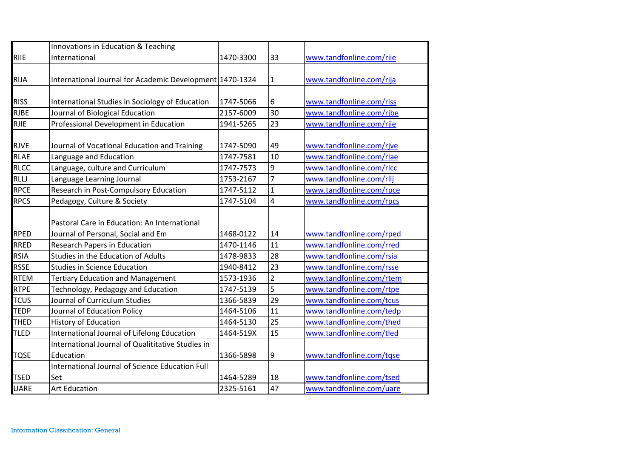|             | Innovations in Education & Teaching                      |           |                |                          |
|-------------|----------------------------------------------------------|-----------|----------------|--------------------------|
| <b>RIIE</b> | International                                            | 1470-3300 | 33             | www.tandfonline.com/riie |
|             |                                                          |           |                |                          |
| <b>RIJA</b> | International Journal for Academic Development 1470-1324 |           | 1              | www.tandfonline.com/rija |
|             |                                                          |           |                |                          |
| <b>RISS</b> | International Studies in Sociology of Education          | 1747-5066 | 6              | www.tandfonline.com/riss |
| <b>RJBE</b> | Journal of Biological Education                          | 2157-6009 | 30             | www.tandfonline.com/rjbe |
| <b>RJIE</b> | Professional Development in Education                    | 1941-5265 | 23             | www.tandfonline.com/rjie |
|             |                                                          |           |                |                          |
| <b>RJVE</b> | Journal of Vocational Education and Training             | 1747-5090 | 49             | www.tandfonline.com/rjve |
| <b>RLAE</b> | Language and Education                                   | 1747-7581 | 10             | www.tandfonline.com/rlae |
| <b>RLCC</b> | Language, culture and Curriculum                         | 1747-7573 | 9              | www.tandfonline.com/rlcc |
| RLLJ        | Language Learning Journal                                | 1753-2167 | 7              | www.tandfonline.com/rllj |
| <b>RPCE</b> | Research in Post-Compulsory Education                    | 1747-5112 | 1              | www.tandfonline.com/rpce |
| <b>RPCS</b> | Pedagogy, Culture & Society                              | 1747-5104 | $\overline{4}$ | www.tandfonline.com/rpcs |
|             |                                                          |           |                |                          |
|             | Pastoral Care in Education: An International             |           |                |                          |
| <b>RPED</b> | Journal of Personal, Social and Em                       | 1468-0122 | 14             | www.tandfonline.com/rped |
| <b>RRED</b> | <b>Research Papers in Education</b>                      | 1470-1146 | 11             | www.tandfonline.com/rred |
| <b>RSIA</b> | Studies in the Education of Adults                       | 1478-9833 | 28             | www.tandfonline.com/rsia |
| <b>RSSE</b> | <b>Studies in Science Education</b>                      | 1940-8412 | 23             | www.tandfonline.com/rsse |
| <b>RTEM</b> | <b>Tertiary Education and Management</b>                 | 1573-1936 | $\overline{2}$ | www.tandfonline.com/rtem |
| <b>RTPE</b> | Technology, Pedagogy and Education                       | 1747-5139 | 5              | www.tandfonline.com/rtpe |
| <b>TCUS</b> | Journal of Curriculum Studies                            | 1366-5839 | 29             | www.tandfonline.com/tcus |
| <b>TEDP</b> | Journal of Education Policy                              | 1464-5106 | 11             | www.tandfonline.com/tedp |
| <b>THED</b> | <b>History of Education</b>                              | 1464-5130 | 25             | www.tandfonline.com/thed |
| <b>TLED</b> | International Journal of Lifelong Education              | 1464-519X | 15             | www.tandfonline.com/tled |
|             | International Journal of Qualititative Studies in        |           |                |                          |
| <b>TQSE</b> | Education                                                | 1366-5898 | 9              | www.tandfonline.com/tqse |
|             | International Journal of Science Education Full          |           |                |                          |
| <b>TSED</b> | Set                                                      | 1464-5289 | 18             | www.tandfonline.com/tsed |
| <b>UARE</b> | <b>Art Education</b>                                     | 2325-5161 | 47             | www.tandfonline.com/uare |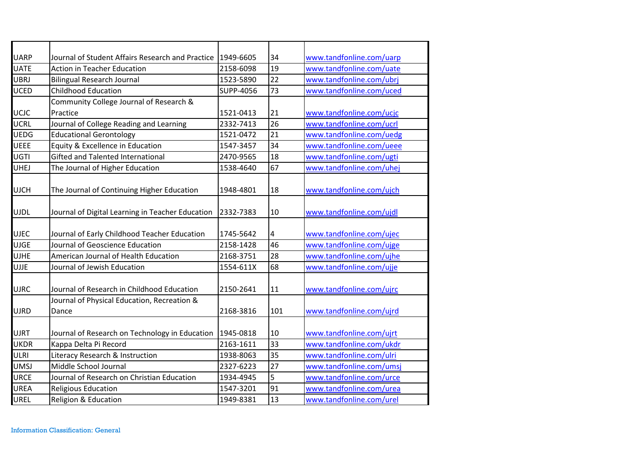| <b>UARP</b> | Journal of Student Affairs Research and Practice | 1949-6605 | 34  | www.tandfonline.com/uarp |
|-------------|--------------------------------------------------|-----------|-----|--------------------------|
| <b>UATE</b> | <b>Action in Teacher Education</b>               | 2158-6098 | 19  | www.tandfonline.com/uate |
| UBRJ        | <b>Bilingual Research Journal</b>                | 1523-5890 | 22  | www.tandfonline.com/ubrj |
| <b>UCED</b> | <b>Childhood Education</b>                       | SUPP-4056 | 73  | www.tandfonline.com/uced |
|             | Community College Journal of Research &          |           |     |                          |
| UCJC        | Practice                                         | 1521-0413 | 21  | www.tandfonline.com/ucjc |
| UCRL        | Journal of College Reading and Learning          | 2332-7413 | 26  | www.tandfonline.com/ucrl |
| <b>UEDG</b> | <b>Educational Gerontology</b>                   | 1521-0472 | 21  | www.tandfonline.com/uedg |
| UEEE        | Equity & Excellence in Education                 | 1547-3457 | 34  | www.tandfonline.com/ueee |
| UGTI        | <b>Gifted and Talented International</b>         | 2470-9565 | 18  | www.tandfonline.com/ugti |
| <b>UHEJ</b> | The Journal of Higher Education                  | 1538-4640 | 67  | www.tandfonline.com/uhej |
|             |                                                  |           |     |                          |
| <b>UJCH</b> | The Journal of Continuing Higher Education       | 1948-4801 | 18  | www.tandfonline.com/ujch |
|             |                                                  |           |     |                          |
| <b>UJDL</b> | Journal of Digital Learning in Teacher Education | 2332-7383 | 10  | www.tandfonline.com/ujdl |
|             |                                                  |           |     |                          |
| <b>UJEC</b> | Journal of Early Childhood Teacher Education     | 1745-5642 | 4   | www.tandfonline.com/ujec |
| <b>UJGE</b> | Journal of Geoscience Education                  | 2158-1428 | 46  | www.tandfonline.com/ujge |
| <b>UJHE</b> | American Journal of Health Education             | 2168-3751 | 28  | www.tandfonline.com/ujhe |
| <b>UJJE</b> | Journal of Jewish Education                      | 1554-611X | 68  | www.tandfonline.com/ujje |
|             |                                                  |           |     |                          |
| <b>UJRC</b> | Journal of Research in Childhood Education       | 2150-2641 | 11  | www.tandfonline.com/ujrc |
|             | Journal of Physical Education, Recreation &      |           |     |                          |
| <b>UJRD</b> | Dance                                            | 2168-3816 | 101 | www.tandfonline.com/ujrd |
|             |                                                  |           |     |                          |
| <b>UJRT</b> | Journal of Research on Technology in Education   | 1945-0818 | 10  | www.tandfonline.com/ujrt |
| <b>UKDR</b> | Kappa Delta Pi Record                            | 2163-1611 | 33  | www.tandfonline.com/ukdr |
| ULRI        | Literacy Research & Instruction                  | 1938-8063 | 35  | www.tandfonline.com/ulri |
| UMSJ        | Middle School Journal                            | 2327-6223 | 27  | www.tandfonline.com/umsj |
| <b>URCE</b> | Journal of Research on Christian Education       | 1934-4945 | 5   | www.tandfonline.com/urce |
| UREA        | <b>Religious Education</b>                       | 1547-3201 | 91  | www.tandfonline.com/urea |
| UREL        | Religion & Education                             | 1949-8381 | 13  | www.tandfonline.com/urel |